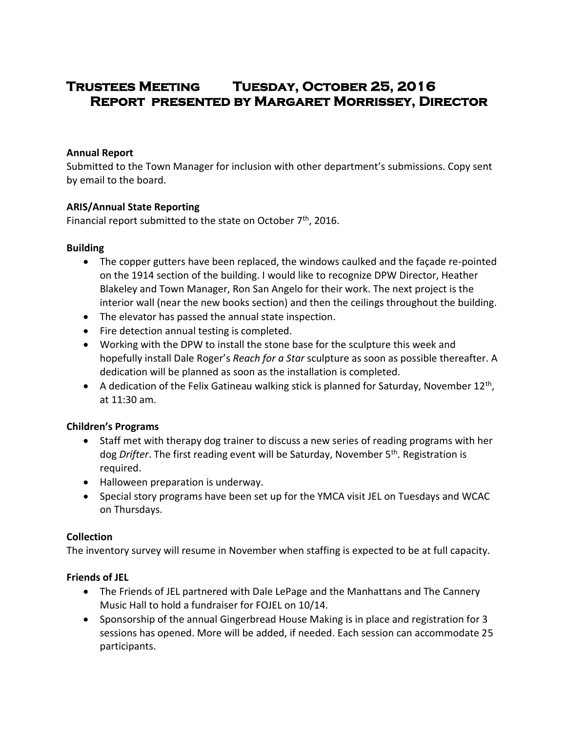# **Trustees Meeting Tuesday, October 25, 2016 Report presented by Margaret Morrissey, Director**

#### **Annual Report**

Submitted to the Town Manager for inclusion with other department's submissions. Copy sent by email to the board.

#### **ARIS/Annual State Reporting**

Financial report submitted to the state on October 7<sup>th</sup>, 2016.

### **Building**

- The copper gutters have been replaced, the windows caulked and the façade re-pointed on the 1914 section of the building. I would like to recognize DPW Director, Heather Blakeley and Town Manager, Ron San Angelo for their work. The next project is the interior wall (near the new books section) and then the ceilings throughout the building.
- The elevator has passed the annual state inspection.
- Fire detection annual testing is completed.
- Working with the DPW to install the stone base for the sculpture this week and hopefully install Dale Roger's *Reach for a Star* sculpture as soon as possible thereafter. A dedication will be planned as soon as the installation is completed.
- $\bullet$  A dedication of the Felix Gatineau walking stick is planned for Saturday, November 12<sup>th</sup>, at 11:30 am.

#### **Children's Programs**

- Staff met with therapy dog trainer to discuss a new series of reading programs with her dog *Drifter*. The first reading event will be Saturday, November 5th. Registration is required.
- Halloween preparation is underway.
- Special story programs have been set up for the YMCA visit JEL on Tuesdays and WCAC on Thursdays.

#### **Collection**

The inventory survey will resume in November when staffing is expected to be at full capacity.

## **Friends of JEL**

- The Friends of JEL partnered with Dale LePage and the Manhattans and The Cannery Music Hall to hold a fundraiser for FOJEL on 10/14.
- Sponsorship of the annual Gingerbread House Making is in place and registration for 3 sessions has opened. More will be added, if needed. Each session can accommodate 25 participants.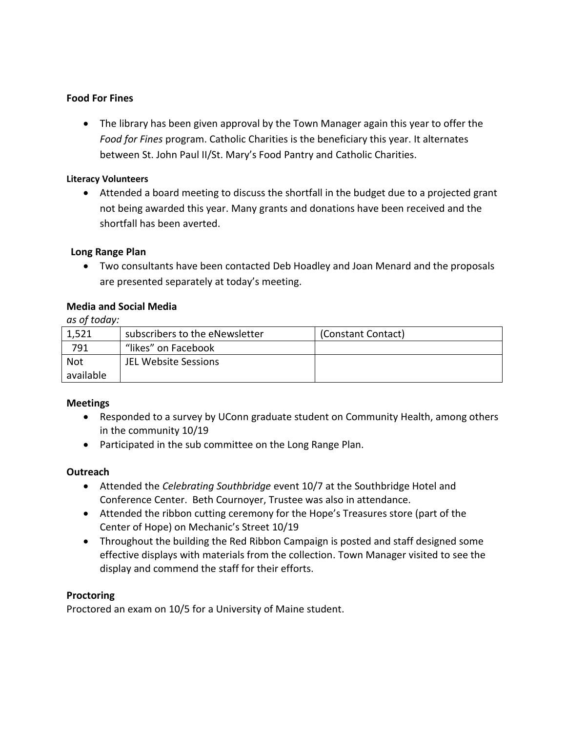## **Food For Fines**

 The library has been given approval by the Town Manager again this year to offer the *Food for Fines* program. Catholic Charities is the beneficiary this year. It alternates between St. John Paul II/St. Mary's Food Pantry and Catholic Charities.

#### **Literacy Volunteers**

 Attended a board meeting to discuss the shortfall in the budget due to a projected grant not being awarded this year. Many grants and donations have been received and the shortfall has been averted.

#### **Long Range Plan**

 Two consultants have been contacted Deb Hoadley and Joan Menard and the proposals are presented separately at today's meeting.

#### **Media and Social Media**

*as of today:*

| 1,521      | subscribers to the eNewsletter | (Constant Contact) |
|------------|--------------------------------|--------------------|
| 791        | "likes" on Facebook            |                    |
| <b>Not</b> | JEL Website Sessions           |                    |
| available  |                                |                    |

#### **Meetings**

- Responded to a survey by UConn graduate student on Community Health, among others in the community 10/19
- Participated in the sub committee on the Long Range Plan.

#### **Outreach**

- Attended the *Celebrating Southbridge* event 10/7 at the Southbridge Hotel and Conference Center. Beth Cournoyer, Trustee was also in attendance.
- Attended the ribbon cutting ceremony for the Hope's Treasures store (part of the Center of Hope) on Mechanic's Street 10/19
- Throughout the building the Red Ribbon Campaign is posted and staff designed some effective displays with materials from the collection. Town Manager visited to see the display and commend the staff for their efforts.

#### **Proctoring**

Proctored an exam on 10/5 for a University of Maine student.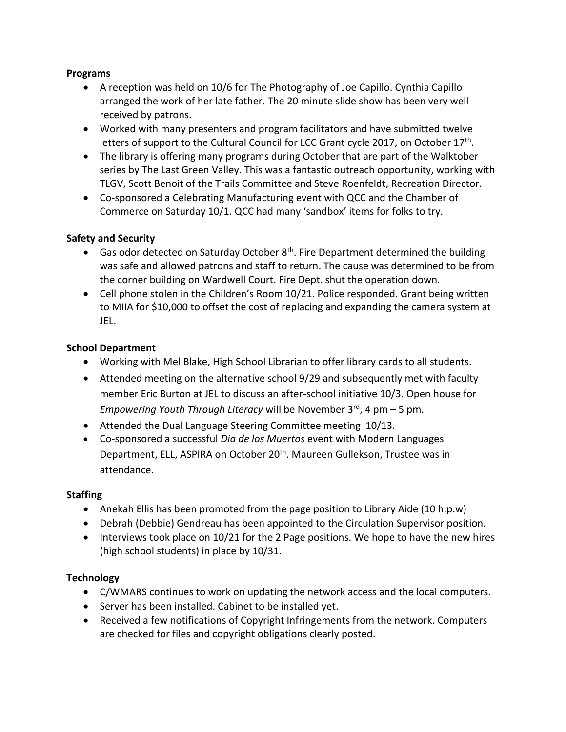### **Programs**

- A reception was held on 10/6 for The Photography of Joe Capillo. Cynthia Capillo arranged the work of her late father. The 20 minute slide show has been very well received by patrons.
- Worked with many presenters and program facilitators and have submitted twelve letters of support to the Cultural Council for LCC Grant cycle 2017, on October 17<sup>th</sup>.
- The library is offering many programs during October that are part of the Walktober series by The Last Green Valley. This was a fantastic outreach opportunity, working with TLGV, Scott Benoit of the Trails Committee and Steve Roenfeldt, Recreation Director.
- Co-sponsored a Celebrating Manufacturing event with QCC and the Chamber of Commerce on Saturday 10/1. QCC had many 'sandbox' items for folks to try.

## **Safety and Security**

- Gas odor detected on Saturday October  $8<sup>th</sup>$ . Fire Department determined the building was safe and allowed patrons and staff to return. The cause was determined to be from the corner building on Wardwell Court. Fire Dept. shut the operation down.
- Cell phone stolen in the Children's Room 10/21. Police responded. Grant being written to MIIA for \$10,000 to offset the cost of replacing and expanding the camera system at JEL.

## **School Department**

- Working with Mel Blake, High School Librarian to offer library cards to all students.
- Attended meeting on the alternative school 9/29 and subsequently met with faculty member Eric Burton at JEL to discuss an after-school initiative 10/3. Open house for *Empowering Youth Through Literacy* will be November 3<sup>rd</sup>, 4 pm – 5 pm.
- Attended the Dual Language Steering Committee meeting 10/13.
- Co-sponsored a successful *Dia de los Muertos* event with Modern Languages Department, ELL, ASPIRA on October 20<sup>th</sup>. Maureen Gullekson, Trustee was in attendance.

## **Staffing**

- Anekah Ellis has been promoted from the page position to Library Aide (10 h.p.w)
- Debrah (Debbie) Gendreau has been appointed to the Circulation Supervisor position.
- $\bullet$  Interviews took place on 10/21 for the 2 Page positions. We hope to have the new hires (high school students) in place by 10/31.

## **Technology**

- C/WMARS continues to work on updating the network access and the local computers.
- Server has been installed. Cabinet to be installed yet.
- Received a few notifications of Copyright Infringements from the network. Computers are checked for files and copyright obligations clearly posted.